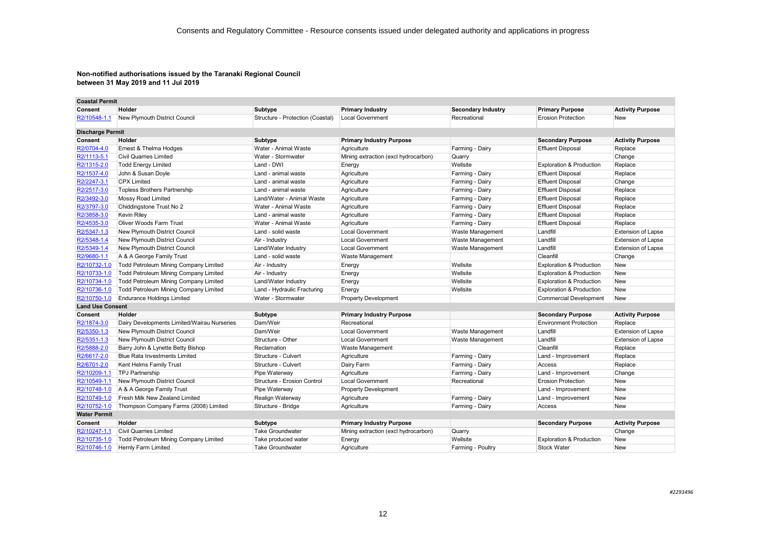| <b>Coastal Permit</b>   |                                             |                                  |                                      |                           |                                     |                           |
|-------------------------|---------------------------------------------|----------------------------------|--------------------------------------|---------------------------|-------------------------------------|---------------------------|
| Consent                 | Holder                                      | <b>Subtype</b>                   | <b>Primary Industry</b>              | <b>Secondary Industry</b> | <b>Primary Purpose</b>              | <b>Activity Purpose</b>   |
| R2/10548-1.1            | New Plymouth District Council               | Structure - Protection (Coastal) | <b>Local Government</b>              | Recreational              | <b>Erosion Protection</b>           | New                       |
| <b>Discharge Permit</b> |                                             |                                  |                                      |                           |                                     |                           |
| Consent                 | Holder                                      | <b>Subtype</b>                   | <b>Primary Industry Purpose</b>      |                           | <b>Secondary Purpose</b>            | <b>Activity Purpose</b>   |
| R2/0704-4.0             | Ernest & Thelma Hodges                      | Water - Animal Waste             | Agriculture                          | Farming - Dairv           | <b>Effluent Disposal</b>            | Replace                   |
| R2/1113-5.1             | <b>Civil Quarries Limited</b>               | Water - Stormwater               | Mining extraction (excl hydrocarbon) | Quarry                    |                                     | Change                    |
| R2/1315-2.0             | <b>Todd Energy Limited</b>                  | Land - DWI                       | Energy                               | Wellsite                  | <b>Exploration &amp; Production</b> | Replace                   |
| R2/1537-4.0             | John & Susan Doyle                          | Land - animal waste              | Agriculture                          | Farming - Dairy           | <b>Effluent Disposal</b>            | Replace                   |
| R2/2247-3.1             | <b>CPX Limited</b>                          | Land - animal waste              | Agriculture                          | Farming - Dairy           | <b>Effluent Disposal</b>            | Change                    |
| R2/2517-3.0             | <b>Topless Brothers Partnership</b>         | Land - animal waste              | Agriculture                          | Farming - Dairy           | <b>Effluent Disposal</b>            | Replace                   |
| R2/3492-3.0             | Mossy Road Limited                          | Land/Water - Animal Waste        | Agriculture                          | Farming - Dairy           | <b>Effluent Disposal</b>            | Replace                   |
| R2/3797-3.0             | Chiddingstone Trust No 2                    | Water - Animal Waste             | Agriculture                          | Farming - Dairy           | <b>Effluent Disposal</b>            | Replace                   |
| R2/3858-3.0             | <b>Kevin Riley</b>                          | Land - animal waste              | Agriculture                          | Farming - Dairy           | <b>Effluent Disposal</b>            | Replace                   |
| R2/4535-3.0             | Oliver Woods Farm Trust                     | Water - Animal Waste             | Agriculture                          | Farming - Dairy           | <b>Effluent Disposal</b>            | Replace                   |
| R2/5347-1.3             | New Plymouth District Council               | Land - solid waste               | <b>Local Government</b>              | Waste Management          | Landfill                            | <b>Extension of Lapse</b> |
| R2/5348-1.4             | New Plymouth District Council               | Air - Industry                   | <b>Local Government</b>              | Waste Management          | Landfill                            | <b>Extension of Lapse</b> |
| R2/5349-1.4             | New Plymouth District Council               | Land/Water Industry              | <b>Local Government</b>              | Waste Management          | Landfill                            | <b>Extension of Lapse</b> |
| R2/9680-1.1             | A & A George Family Trust                   | Land - solid waste               | Waste Management                     |                           | Cleanfill                           | Change                    |
| R2/10732-1.0            | Todd Petroleum Mining Company Limited       | Air - Industry                   | Energy                               | Wellsite                  | <b>Exploration &amp; Production</b> | New                       |
| R2/10733-1.0            | Todd Petroleum Mining Company Limited       | Air - Industry                   | Energy                               | Wellsite                  | <b>Exploration &amp; Production</b> | New                       |
| R2/10734-1.0            | Todd Petroleum Mining Company Limited       | Land/Water Industry              | Energy                               | Wellsite                  | <b>Exploration &amp; Production</b> | New                       |
| R2/10736-1.0            | Todd Petroleum Mining Company Limited       | Land - Hydraulic Fracturing      | Energy                               | Wellsite                  | <b>Exploration &amp; Production</b> | <b>New</b>                |
| R2/10750-1.0            | <b>Endurance Holdings Limited</b>           | Water - Stormwater               | <b>Property Development</b>          |                           | <b>Commercial Development</b>       | <b>New</b>                |
| <b>Land Use Consent</b> |                                             |                                  |                                      |                           |                                     |                           |
| Consent                 | Holder                                      | Subtype                          | <b>Primary Industry Purpose</b>      |                           | <b>Secondary Purpose</b>            | <b>Activity Purpose</b>   |
| R2/1874-3.0             | Dairy Developments Limited/Wairau Nurseries | Dam/Weir                         | Recreational                         |                           | <b>Environment Protection</b>       | Replace                   |
| R2/5350-1.3             | New Plymouth District Council               | Dam/Weir                         | <b>Local Government</b>              | Waste Management          | Landfill                            | Extension of Lapse        |
| R2/5351-1.3             | New Plymouth District Council               | Structure - Other                | <b>Local Government</b>              | Waste Management          | Landfill                            | <b>Extension of Lapse</b> |
| R2/5888-2.0             | Barry John & Lynette Betty Bishop           | Reclamation                      | <b>Waste Management</b>              |                           | Cleanfill                           | Replace                   |
| R2/6617-2.0             | <b>Blue Rata Investments Limited</b>        | Structure - Culvert              | Agriculture                          | Farming - Dairy           | Land - Improvement                  | Replace                   |
| R2/6701-2.0             | Kent Helms Family Trust                     | Structure - Culvert              | Dairy Farm                           | Farming - Dairy           | Access                              | Replace                   |
| R2/10209-1.1            | <b>TPJ Partnership</b>                      | Pipe Waterway                    | Agriculture                          | Farming - Dairy           | Land - Improvement                  | Change                    |
| R2/10549-1.1            | New Plymouth District Council               | Structure - Erosion Control      | <b>Local Government</b>              | Recreational              | <b>Erosion Protection</b>           | New                       |
| R2/10748-1.0            | A & A George Family Trust                   | Pipe Waterway                    | <b>Property Development</b>          |                           | Land - Improvement                  | New                       |
| R2/10749-1.0            | Fresh Milk New Zealand Limited              | Realign Waterway                 | Agriculture                          | Farming - Dairy           | Land - Improvement                  | New                       |
| R2/10752-1.0            | Thompson Company Farms (2008) Limited       | Structure - Bridge               | Agriculture                          | Farming - Dairy           | Access                              | New                       |
| <b>Water Permit</b>     |                                             |                                  |                                      |                           |                                     |                           |
| Consent                 | Holder                                      | Subtype                          | <b>Primary Industry Purpose</b>      |                           | <b>Secondary Purpose</b>            | <b>Activity Purpose</b>   |
| R2/10247-1.1            | <b>Civil Quarries Limited</b>               | Take Groundwater                 | Mining extraction (excl hydrocarbon) | Quarry                    |                                     | Change                    |
| R2/10735-1.0            | Todd Petroleum Mining Company Limited       | Take produced water              | Energy                               | Wellsite                  | <b>Exploration &amp; Production</b> | New                       |
| R2/10746-1.0            | Hernly Farm Limited                         | <b>Take Groundwater</b>          | Agriculture                          | Farming - Poultry         | <b>Stock Water</b>                  | <b>New</b>                |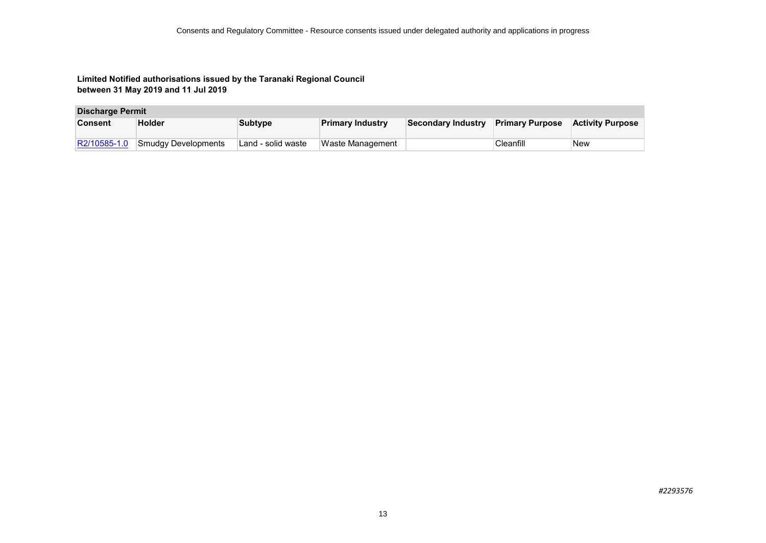#### **Discharge Permit**

| <b>Consent</b> | <b>Holder</b>       | <b>Subtype</b>     | <b>Primary Industry</b> | Secondary Industry | <b>Primary Purpose</b> | <b>Activity Purpose</b> |
|----------------|---------------------|--------------------|-------------------------|--------------------|------------------------|-------------------------|
| R2/10585-1.0   | Smudgy Developments | Land - solid waste | Waste Management        |                    | Cleanfill              | ∣New                    |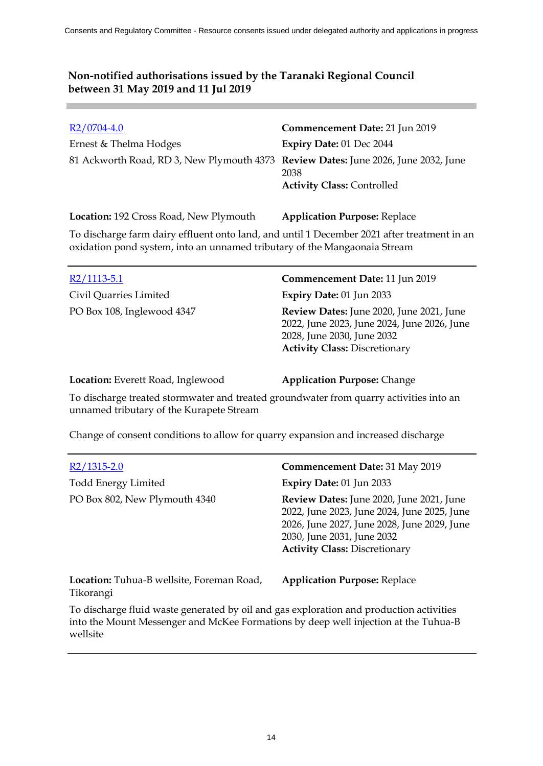| $R2/0704-4.0$                                                                      | Commencement Date: 21 Jun 2019            |
|------------------------------------------------------------------------------------|-------------------------------------------|
| Ernest & Thelma Hodges                                                             | <b>Expiry Date: 01 Dec 2044</b>           |
| 81 Ackworth Road, RD 3, New Plymouth 4373 Review Dates: June 2026, June 2032, June | 2038<br><b>Activity Class: Controlled</b> |
|                                                                                    |                                           |

**Location:** 192 Cross Road, New Plymouth **Application Purpose:** Replace

To discharge farm dairy effluent onto land, and until 1 December 2021 after treatment in an oxidation pond system, into an unnamed tributary of the Mangaonaia Stream

| $R2/1113-5.1$              | Commencement Date: 11 Jun 2019                                                                                                                                |
|----------------------------|---------------------------------------------------------------------------------------------------------------------------------------------------------------|
| Civil Quarries Limited     | <b>Expiry Date: 01 Jun 2033</b>                                                                                                                               |
| PO Box 108, Inglewood 4347 | Review Dates: June 2020, June 2021, June<br>2022, June 2023, June 2024, June 2026, June<br>2028, June 2030, June 2032<br><b>Activity Class: Discretionary</b> |

**Location:** Everett Road, Inglewood **Application Purpose:** Change

To discharge treated stormwater and treated groundwater from quarry activities into an unnamed tributary of the Kurapete Stream

Change of consent conditions to allow for quarry expansion and increased discharge

| R2/1315-2.0                                                   | <b>Commencement Date: 31 May 2019</b>                                                                                                                                                                        |
|---------------------------------------------------------------|--------------------------------------------------------------------------------------------------------------------------------------------------------------------------------------------------------------|
| <b>Todd Energy Limited</b>                                    | Expiry Date: 01 Jun 2033                                                                                                                                                                                     |
| PO Box 802, New Plymouth 4340                                 | Review Dates: June 2020, June 2021, June<br>2022, June 2023, June 2024, June 2025, June<br>2026, June 2027, June 2028, June 2029, June<br>2030, June 2031, June 2032<br><b>Activity Class: Discretionary</b> |
| <b>Location:</b> Tuhua-B wellsite, Foreman Road,<br>Tikorangi | <b>Application Purpose: Replace</b>                                                                                                                                                                          |

To discharge fluid waste generated by oil and gas exploration and production activities into the Mount Messenger and McKee Formations by deep well injection at the Tuhua-B wellsite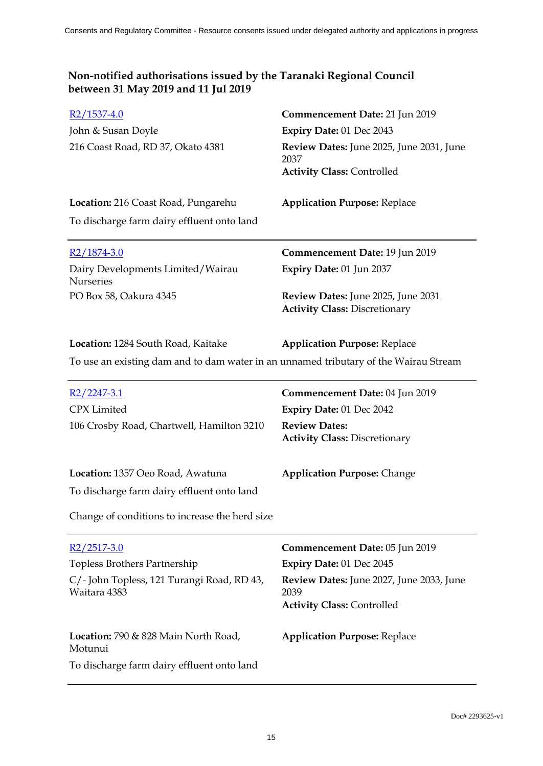| $R2/1537-4.0$                                                                        | Commencement Date: 21 Jun 2019                                             |
|--------------------------------------------------------------------------------------|----------------------------------------------------------------------------|
| John & Susan Doyle                                                                   | Expiry Date: 01 Dec 2043                                                   |
| 216 Coast Road, RD 37, Okato 4381                                                    | Review Dates: June 2025, June 2031, June<br>2037                           |
|                                                                                      | <b>Activity Class: Controlled</b>                                          |
| Location: 216 Coast Road, Pungarehu                                                  | <b>Application Purpose: Replace</b>                                        |
| To discharge farm dairy effluent onto land                                           |                                                                            |
| $R2/1874-3.0$                                                                        | Commencement Date: 19 Jun 2019                                             |
| Dairy Developments Limited/Wairau<br>Nurseries                                       | Expiry Date: 01 Jun 2037                                                   |
| PO Box 58, Oakura 4345                                                               | Review Dates: June 2025, June 2031<br><b>Activity Class: Discretionary</b> |
| Location: 1284 South Road, Kaitake                                                   | <b>Application Purpose: Replace</b>                                        |
| To use an existing dam and to dam water in an unnamed tributary of the Wairau Stream |                                                                            |
| $R2/2247-3.1$                                                                        | Commencement Date: 04 Jun 2019                                             |
| <b>CPX</b> Limited                                                                   | Expiry Date: 01 Dec 2042                                                   |
| 106 Crosby Road, Chartwell, Hamilton 3210                                            | <b>Review Dates:</b><br><b>Activity Class: Discretionary</b>               |
| Location: 1357 Oeo Road, Awatuna                                                     | <b>Application Purpose: Change</b>                                         |
| To discharge farm dairy effluent onto land                                           |                                                                            |
| Change of conditions to increase the herd size                                       |                                                                            |
| $R2/2517-3.0$                                                                        | Commencement Date: 05 Jun 2019                                             |
| Topless Brothers Partnership                                                         | Expiry Date: 01 Dec 2045                                                   |
| C/ - John Topless, 121 Turangi Road, RD 43,<br>Waitara 4383                          | Review Dates: June 2027, June 2033, June<br>2039                           |
|                                                                                      | <b>Activity Class: Controlled</b>                                          |
| Location: 790 & 828 Main North Road,<br>Motunui                                      | <b>Application Purpose: Replace</b>                                        |
| To discharge farm dairy effluent onto land                                           |                                                                            |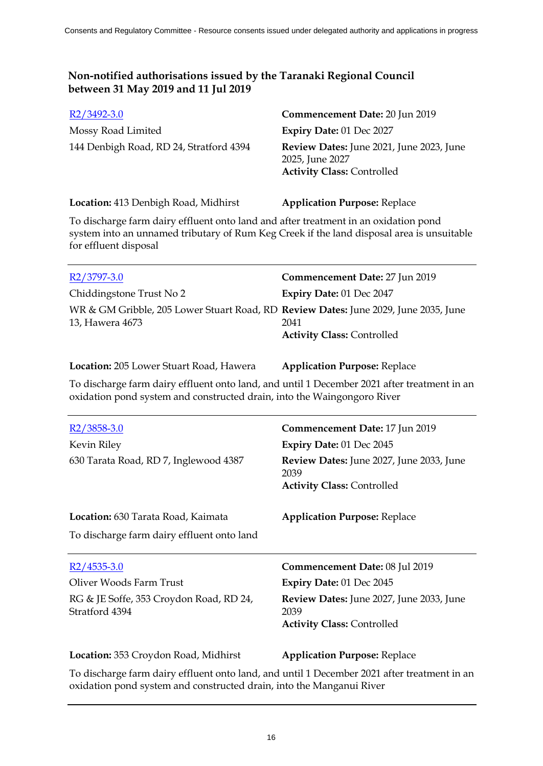| $R2/3492-3.0$                           | Commencement Date: 20 Jun 2019                                                                   |
|-----------------------------------------|--------------------------------------------------------------------------------------------------|
| Mossy Road Limited                      | Expiry Date: 01 Dec 2027                                                                         |
| 144 Denbigh Road, RD 24, Stratford 4394 | Review Dates: June 2021, June 2023, June<br>2025, June 2027<br><b>Activity Class: Controlled</b> |

## **Location:** 413 Denbigh Road, Midhirst **Application Purpose:** Replace

To discharge farm dairy effluent onto land and after treatment in an oxidation pond system into an unnamed tributary of Rum Keg Creek if the land disposal area is unsuitable for effluent disposal

| $R2/3797-3.0$                                                                                          | Commencement Date: 27 Jun 2019            |
|--------------------------------------------------------------------------------------------------------|-------------------------------------------|
| Chiddingstone Trust No 2                                                                               | <b>Expiry Date: 01 Dec 2047</b>           |
| WR & GM Gribble, 205 Lower Stuart Road, RD Review Dates: June 2029, June 2035, June<br>13, Hawera 4673 | 2041<br><b>Activity Class: Controlled</b> |

#### **Location:** 205 Lower Stuart Road, Hawera **Application Purpose:** Replace

To discharge farm dairy effluent onto land, and until 1 December 2021 after treatment in an oxidation pond system and constructed drain, into the Waingongoro River

| $R2/3858-3.0$<br>Kevin Riley<br>630 Tarata Road, RD 7, Inglewood 4387                                 | Commencement Date: 17 Jun 2019<br>Expiry Date: 01 Dec 2045<br><b>Review Dates:</b> June 2027, June 2033, June<br>2039<br><b>Activity Class: Controlled</b>        |
|-------------------------------------------------------------------------------------------------------|-------------------------------------------------------------------------------------------------------------------------------------------------------------------|
| Location: 630 Tarata Road, Kaimata<br>To discharge farm dairy effluent onto land                      | <b>Application Purpose: Replace</b>                                                                                                                               |
| $R2/4535-3.0$<br>Oliver Woods Farm Trust<br>RG & JE Soffe, 353 Croydon Road, RD 24,<br>Stratford 4394 | Commencement Date: 08 Jul 2019<br><b>Expiry Date: 01 Dec 2045</b><br><b>Review Dates:</b> June 2027, June 2033, June<br>2039<br><b>Activity Class: Controlled</b> |
| Location: 353 Croydon Road, Midhirst                                                                  | <b>Application Purpose: Replace</b>                                                                                                                               |

To discharge farm dairy effluent onto land, and until 1 December 2021 after treatment in an oxidation pond system and constructed drain, into the Manganui River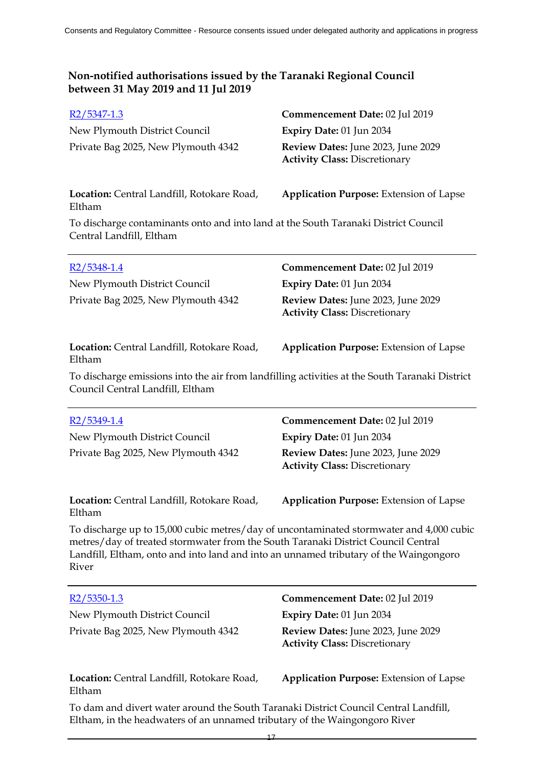| $R2/5347-1.3$                                                                                                                                                                                                                                                                  | Commencement Date: 02 Jul 2019                                             |
|--------------------------------------------------------------------------------------------------------------------------------------------------------------------------------------------------------------------------------------------------------------------------------|----------------------------------------------------------------------------|
| New Plymouth District Council                                                                                                                                                                                                                                                  | Expiry Date: 01 Jun 2034                                                   |
| Private Bag 2025, New Plymouth 4342                                                                                                                                                                                                                                            | Review Dates: June 2023, June 2029<br><b>Activity Class: Discretionary</b> |
| Location: Central Landfill, Rotokare Road,<br>Eltham                                                                                                                                                                                                                           | <b>Application Purpose: Extension of Lapse</b>                             |
| To discharge contaminants onto and into land at the South Taranaki District Council<br>Central Landfill, Eltham                                                                                                                                                                |                                                                            |
| $R2/5348-1.4$                                                                                                                                                                                                                                                                  | Commencement Date: 02 Jul 2019                                             |
| New Plymouth District Council                                                                                                                                                                                                                                                  | Expiry Date: 01 Jun 2034                                                   |
| Private Bag 2025, New Plymouth 4342                                                                                                                                                                                                                                            | Review Dates: June 2023, June 2029<br><b>Activity Class: Discretionary</b> |
| Location: Central Landfill, Rotokare Road,<br>Eltham                                                                                                                                                                                                                           | <b>Application Purpose:</b> Extension of Lapse                             |
| To discharge emissions into the air from landfilling activities at the South Taranaki District<br>Council Central Landfill, Eltham                                                                                                                                             |                                                                            |
|                                                                                                                                                                                                                                                                                |                                                                            |
| $R2/5349-1.4$                                                                                                                                                                                                                                                                  | Commencement Date: 02 Jul 2019                                             |
| New Plymouth District Council                                                                                                                                                                                                                                                  | Expiry Date: 01 Jun 2034                                                   |
| Private Bag 2025, New Plymouth 4342                                                                                                                                                                                                                                            | Review Dates: June 2023, June 2029<br><b>Activity Class: Discretionary</b> |
| Location: Central Landfill, Rotokare Road,<br>Eltham                                                                                                                                                                                                                           | <b>Application Purpose: Extension of Lapse</b>                             |
| To discharge up to 15,000 cubic metres/day of uncontaminated stormwater and 4,000 cubic<br>metres/day of treated stormwater from the South Taranaki District Council Central<br>Landfill, Eltham, onto and into land and into an unnamed tributary of the Waingongoro<br>River |                                                                            |
| $R2/5350-1.3$                                                                                                                                                                                                                                                                  | Commencement Date: 02 Jul 2019                                             |
| New Plymouth District Council                                                                                                                                                                                                                                                  | Expiry Date: 01 Jun 2034                                                   |
| Private Bag 2025, New Plymouth 4342                                                                                                                                                                                                                                            | Review Dates: June 2023, June 2029<br><b>Activity Class: Discretionary</b> |

To dam and divert water around the South Taranaki District Council Central Landfill, Eltham, in the headwaters of an unnamed tributary of the Waingongoro River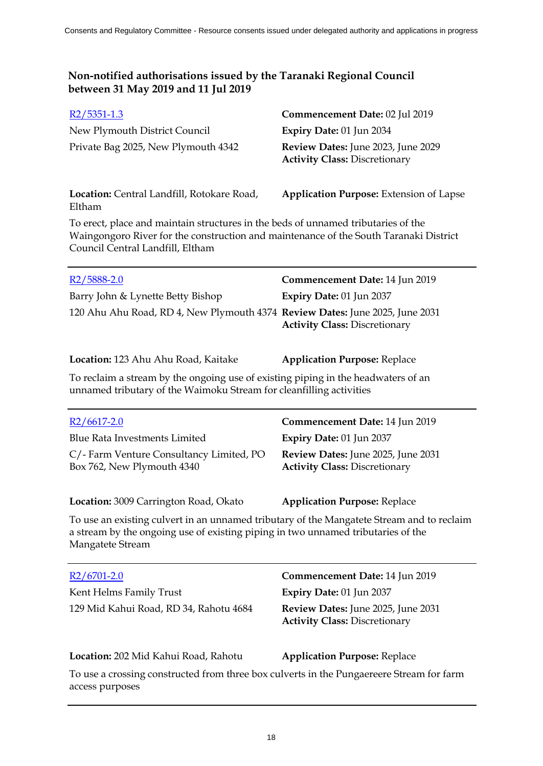| $R2/5351-1.3$                       | Commencement Date: 02 Jul 2019                                                    |
|-------------------------------------|-----------------------------------------------------------------------------------|
| New Plymouth District Council       | <b>Expiry Date: 01 Jun 2034</b>                                                   |
| Private Bag 2025, New Plymouth 4342 | <b>Review Dates:</b> June 2023, June 2029<br><b>Activity Class: Discretionary</b> |

**Location:** Central Landfill, Rotokare Road, Eltham **Application Purpose:** Extension of Lapse

To erect, place and maintain structures in the beds of unnamed tributaries of the Waingongoro River for the construction and maintenance of the South Taranaki District Council Central Landfill, Eltham

| $R2/5888-2.0$                                                                | Commencement Date: 14 Jun 2019       |
|------------------------------------------------------------------------------|--------------------------------------|
| Barry John & Lynette Betty Bishop                                            | <b>Expiry Date: 01 Jun 2037</b>      |
| 120 Ahu Ahu Road, RD 4, New Plymouth 4374 Review Dates: June 2025, June 2031 | <b>Activity Class: Discretionary</b> |

**Location:** 123 Ahu Ahu Road, Kaitake **Application Purpose:** Replace

To reclaim a stream by the ongoing use of existing piping in the headwaters of an unnamed tributary of the Waimoku Stream for cleanfilling activities

| $R2/6617 - 2.0$                                                       | Commencement Date: 14 Jun 2019                                                    |
|-----------------------------------------------------------------------|-----------------------------------------------------------------------------------|
| <b>Blue Rata Investments Limited</b>                                  | <b>Expiry Date: 01 Jun 2037</b>                                                   |
| C/-Farm Venture Consultancy Limited, PO<br>Box 762, New Plymouth 4340 | <b>Review Dates:</b> June 2025, June 2031<br><b>Activity Class: Discretionary</b> |
| Location: 3009 Carrington Road, Okato                                 | <b>Application Purpose: Replace</b>                                               |

To use an existing culvert in an unnamed tributary of the Mangatete Stream and to reclaim a stream by the ongoing use of existing piping in two unnamed tributaries of the Mangatete Stream

| $R2/6701-2.0$                          | Commencement Date: 14 Jun 2019                                             |
|----------------------------------------|----------------------------------------------------------------------------|
| Kent Helms Family Trust                | <b>Expiry Date: 01 Jun 2037</b>                                            |
| 129 Mid Kahui Road, RD 34, Rahotu 4684 | Review Dates: June 2025, June 2031<br><b>Activity Class: Discretionary</b> |

#### **Location:** 202 Mid Kahui Road, Rahotu **Application Purpose:** Replace

To use a crossing constructed from three box culverts in the Pungaereere Stream for farm access purposes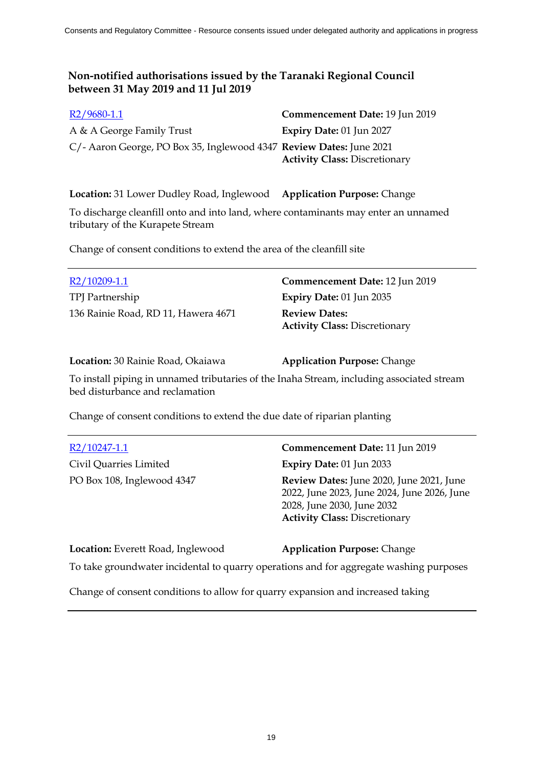| $R2/9680-1.1$                                                       | Commencement Date: 19 Jun 2019       |
|---------------------------------------------------------------------|--------------------------------------|
| A & A George Family Trust                                           | <b>Expiry Date: 01 Jun 2027</b>      |
| C/- Aaron George, PO Box 35, Inglewood 4347 Review Dates: June 2021 |                                      |
|                                                                     | <b>Activity Class: Discretionary</b> |

**Location:** 31 Lower Dudley Road, Inglewood **Application Purpose:** Change

To discharge cleanfill onto and into land, where contaminants may enter an unnamed tributary of the Kurapete Stream

Change of consent conditions to extend the area of the cleanfill site

| R2/10209-1.1                        | Commencement Date: 12 Jun 2019                               |
|-------------------------------------|--------------------------------------------------------------|
| TPJ Partnership                     | Expiry Date: $01$ Jun 2035                                   |
| 136 Rainie Road, RD 11, Hawera 4671 | <b>Review Dates:</b><br><b>Activity Class: Discretionary</b> |

**Location:** 30 Rainie Road, Okaiawa **Application Purpose:** Change

To install piping in unnamed tributaries of the Inaha Stream, including associated stream bed disturbance and reclamation

Change of consent conditions to extend the due date of riparian planting

Civil Quarries Limited **Expiry Date:** 01 Jun 2033

R2/10247-1.1 **Commencement Date:** 11 Jun 2019 PO Box 108, Inglewood 4347 **Review Dates:** June 2020, June 2021, June 2022, June 2023, June 2024, June 2026, June 2028, June 2030, June 2032 **Activity Class:** Discretionary

**Location:** Everett Road, Inglewood **Application Purpose:** Change

To take groundwater incidental to quarry operations and for aggregate washing purposes

Change of consent conditions to allow for quarry expansion and increased taking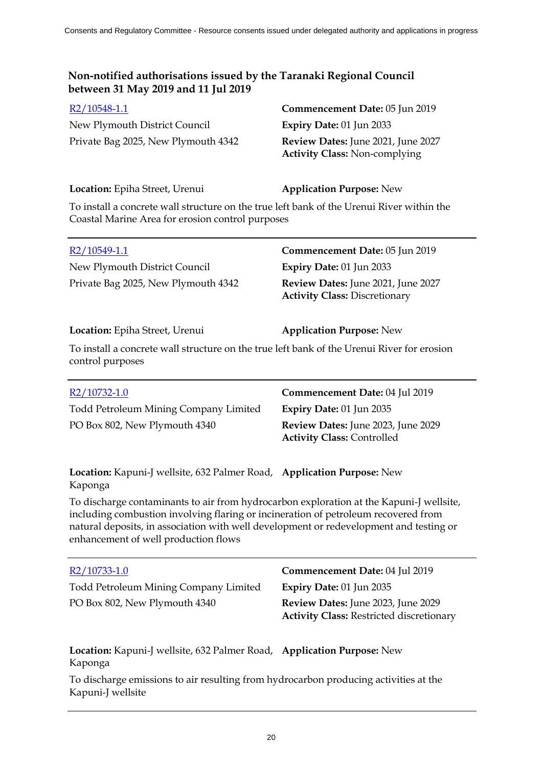New Plymouth District Council **Expiry Date:** 01 Jun 2033 Private Bag 2025, New Plymouth 4342 **Review Dates:** June 2021, June 2027

R2/10548-1.1 **Commencement Date:** 05 Jun 2019 **Activity Class:** Non-complying

### **Location:** Epiha Street, Urenui **Application Purpose:** New

To install a concrete wall structure on the true left bank of the Urenui River within the Coastal Marine Area for erosion control purposes

| R2/10549-1.1                        | Commencement Date: 05 Jun 2019                                             |
|-------------------------------------|----------------------------------------------------------------------------|
| New Plymouth District Council       | Expiry Date: $01$ Jun 2033                                                 |
| Private Bag 2025, New Plymouth 4342 | Review Dates: June 2021, June 2027<br><b>Activity Class: Discretionary</b> |

### **Location:** Epiha Street, Urenui **Application Purpose:** New

To install a concrete wall structure on the true left bank of the Urenui River for erosion control purposes

| R2/10732-1.0                          | Commencement Date: 04 Jul 2019                                          |
|---------------------------------------|-------------------------------------------------------------------------|
| Todd Petroleum Mining Company Limited | Expiry Date: $01$ Jun 2035                                              |
| PO Box 802, New Plymouth 4340         | Review Dates: June 2023, June 2029<br><b>Activity Class: Controlled</b> |

**Location:** Kapuni-J wellsite, 632 Palmer Road, **Application Purpose:** New Kaponga

To discharge contaminants to air from hydrocarbon exploration at the Kapuni-J wellsite, including combustion involving flaring or incineration of petroleum recovered from natural deposits, in association with well development or redevelopment and testing or enhancement of well production flows

| R2/10733-1.0                                                                         | Commencement Date: 04 Jul 2019                                                        |
|--------------------------------------------------------------------------------------|---------------------------------------------------------------------------------------|
| Todd Petroleum Mining Company Limited                                                | Expiry Date: 01 Jun 2035                                                              |
| PO Box 802, New Plymouth 4340                                                        | Review Dates: June 2023, June 2029<br><b>Activity Class: Restricted discretionary</b> |
| Location: Kapuni-J wellsite, 632 Palmer Road, Application Purpose: New<br>Kaponga    |                                                                                       |
| To discharge emissions to air resulting from hydrocarbon producing activities at the |                                                                                       |

To discharge emissions to air resulting from hydrocarbon producing activities at the Kapuni-J wellsite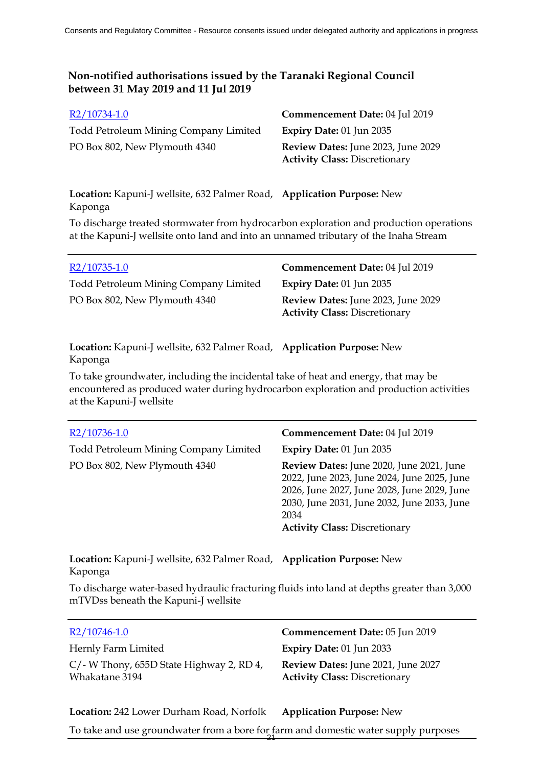| R2/10734-1.0                          | Commencement Date: 04 Jul 2019            |
|---------------------------------------|-------------------------------------------|
| Todd Petroleum Mining Company Limited | Expiry Date: $01$ Jun 2035                |
| PO Box 802, New Plymouth 4340         | <b>Review Dates:</b> June 2023, June 2029 |
|                                       | <b>Activity Class: Discretionary</b>      |

**Location:** Kapuni-J wellsite, 632 Palmer Road, **Application Purpose:** New Kaponga

To discharge treated stormwater from hydrocarbon exploration and production operations at the Kapuni-J wellsite onto land and into an unnamed tributary of the Inaha Stream

| $R2/10735-1.0$                               | Commencement Date: 04 Jul 2019                                             |
|----------------------------------------------|----------------------------------------------------------------------------|
| <b>Todd Petroleum Mining Company Limited</b> | <b>Expiry Date: 01 Jun 2035</b>                                            |
| PO Box 802, New Plymouth 4340                | Review Dates: June 2023, June 2029<br><b>Activity Class: Discretionary</b> |

**Location:** Kapuni-J wellsite, 632 Palmer Road, **Application Purpose:** New Kaponga

To take groundwater, including the incidental take of heat and energy, that may be encountered as produced water during hydrocarbon exploration and production activities at the Kapuni-J wellsite

| R2/10736-1.0                          | Commencement Date: 04 Jul 2019                                                                                                                                                                                                        |
|---------------------------------------|---------------------------------------------------------------------------------------------------------------------------------------------------------------------------------------------------------------------------------------|
| Todd Petroleum Mining Company Limited | Expiry Date: $01$ Jun 2035                                                                                                                                                                                                            |
| PO Box 802, New Plymouth 4340         | Review Dates: June 2020, June 2021, June<br>2022, June 2023, June 2024, June 2025, June<br>2026, June 2027, June 2028, June 2029, June<br>2030, June 2031, June 2032, June 2033, June<br>2034<br><b>Activity Class: Discretionary</b> |

**Location:** Kapuni-J wellsite, 632 Palmer Road, **Application Purpose:** New Kaponga

To discharge water-based hydraulic fracturing fluids into land at depths greater than 3,000 mTVDss beneath the Kapuni-J wellsite

| $R2/10746-1.0$                                                | Commencement Date: 05 Jun 2019                                             |
|---------------------------------------------------------------|----------------------------------------------------------------------------|
| Hernly Farm Limited                                           | Expiry Date: $01$ Jun 2033                                                 |
| $C$ /- W Thony, 655D State Highway 2, RD 4,<br>Whakatane 3194 | Review Dates: June 2021, June 2027<br><b>Activity Class: Discretionary</b> |

**Location:** 242 Lower Durham Road, Norfolk **Application Purpose:** New To take and use groundwater from a bore for farm and domestic water supply purposes 21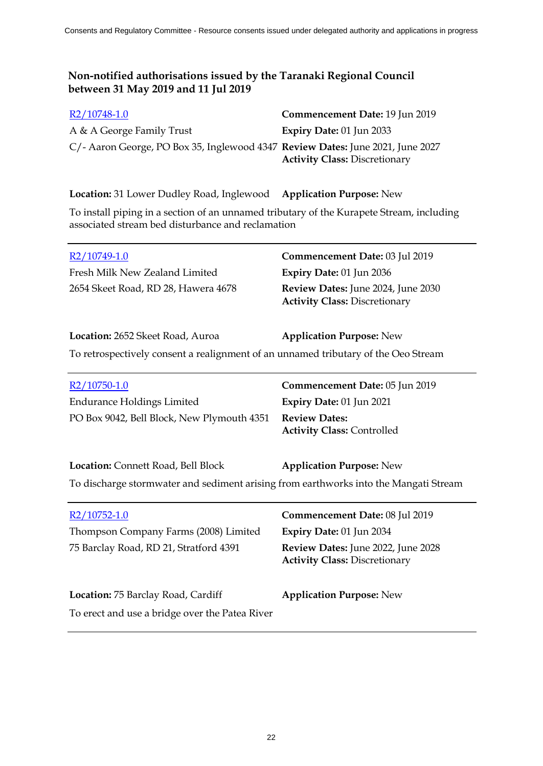| R2/10748-1.0                                                                   | Commencement Date: 19 Jun 2019       |
|--------------------------------------------------------------------------------|--------------------------------------|
| A & A George Family Trust                                                      | Expiry Date: $01$ Jun 2033           |
| C/- Aaron George, PO Box 35, Inglewood 4347 Review Dates: June 2021, June 2027 | <b>Activity Class: Discretionary</b> |
|                                                                                |                                      |

**Location:** 31 Lower Dudley Road, Inglewood **Application Purpose:** New To install piping in a section of an unnamed tributary of the Kurapete Stream, including associated stream bed disturbance and reclamation

| R2/10749-1.0                        | Commencement Date: 03 Jul 2019            |
|-------------------------------------|-------------------------------------------|
| Fresh Milk New Zealand Limited      | <b>Expiry Date:</b> $01$ Jun 2036         |
| 2654 Skeet Road, RD 28, Hawera 4678 | <b>Review Dates:</b> June 2024, June 2030 |
|                                     | <b>Activity Class: Discretionary</b>      |

| Location: 2652 Skeet Road, Auroa | <b>Application Purpose: New</b>                                                    |
|----------------------------------|------------------------------------------------------------------------------------|
|                                  | To retrospectively consent a realignment of an unnamed tributary of the Oeo Stream |

| $R2/10750-1.0$                             | Commencement Date: 05 Jun 2019    |
|--------------------------------------------|-----------------------------------|
| <b>Endurance Holdings Limited</b>          | Expiry Date: $01$ Jun 2021        |
| PO Box 9042, Bell Block, New Plymouth 4351 | <b>Review Dates:</b>              |
|                                            | <b>Activity Class: Controlled</b> |

| Location: Connett Road, Bell Block | <b>Application Purpose: New</b> |
|------------------------------------|---------------------------------|
|------------------------------------|---------------------------------|

To discharge stormwater and sediment arising from earthworks into the Mangati Stream

| R2/10752-1.0                                   | Commencement Date: 08 Jul 2019                                             |
|------------------------------------------------|----------------------------------------------------------------------------|
| Thompson Company Farms (2008) Limited          | Expiry Date: 01 Jun 2034                                                   |
| 75 Barclay Road, RD 21, Stratford 4391         | Review Dates: June 2022, June 2028<br><b>Activity Class: Discretionary</b> |
| Location: 75 Barclay Road, Cardiff             | <b>Application Purpose: New</b>                                            |
| To erect and use a bridge over the Patea River |                                                                            |